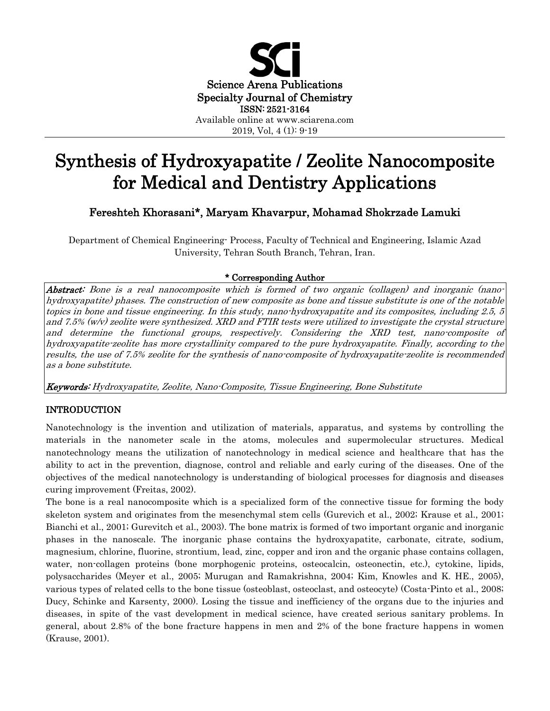

2019, Vol, 4 (1): 9-19

# Synthesis of Hydroxyapatite / Zeolite Nanocomposite for Medical and Dentistry Applications

# Fereshteh Khorasani\*, Maryam Khavarpur, Mohamad Shokrzade Lamuki

Department of Chemical Engineering- Process, Faculty of Technical and Engineering, Islamic Azad University, Tehran South Branch, Tehran, Iran.

## \* Corresponding Author

Abstract: Bone is a real nanocomposite which is formed of two organic (collagen) and inorganic (nanohydroxyapatite) phases. The construction of new composite as bone and tissue substitute is one of the notable topics in bone and tissue engineering. In this study, nano-hydroxyapatite and its composites, including 2.5, 5 and 7.5% (w/v) zeolite were synthesized. XRD and FTIR tests were utilized to investigate the crystal structure and determine the functional groups, respectively. Considering the XRD test, nano-composite of hydroxyapatite-zeolite has more crystallinity compared to the pure hydroxyapatite. Finally, according to the results, the use of 7.5% zeolite for the synthesis of nano-composite of hydroxyapatite-zeolite is recommended as a bone substitute.

Keywords: Hydroxyapatite, Zeolite, Nano-Composite, Tissue Engineering, Bone Substitute

### INTRODUCTION

Nanotechnology is the invention and utilization of materials, apparatus, and systems by controlling the materials in the nanometer scale in the atoms, molecules and supermolecular structures. Medical nanotechnology means the utilization of nanotechnology in medical science and healthcare that has the ability to act in the prevention, diagnose, control and reliable and early curing of the diseases. One of the objectives of the medical nanotechnology is understanding of biological processes for diagnosis and diseases curing improvement (Freitas, 2002).

The bone is a real nanocomposite which is a specialized form of the connective tissue for forming the body skeleton system and originates from the mesenchymal stem cells (Gurevich et al., 2002; Krause et al., 2001; Bianchi et al., 2001; Gurevitch et al., 2003). The bone matrix is formed of two important organic and inorganic phases in the nanoscale. The inorganic phase contains the hydroxyapatite, carbonate, citrate, sodium, magnesium, chlorine, fluorine, strontium, lead, zinc, copper and iron and the organic phase contains collagen, water, non-collagen proteins (bone morphogenic proteins, osteocalcin, osteonectin, etc.), cytokine, lipids, polysaccharides (Meyer et al., 2005; Murugan and Ramakrishna, 2004; Kim, Knowles and K. HE., 2005), various types of related cells to the bone tissue (osteoblast, osteoclast, and osteocyte) (Costa-Pinto et al., 2008; Ducy, Schinke and Karsenty, 2000). Losing the tissue and inefficiency of the organs due to the injuries and diseases, in spite of the vast development in medical science, have created serious sanitary problems. In general, about 2.8% of the bone fracture happens in men and 2% of the bone fracture happens in women (Krause, 2001).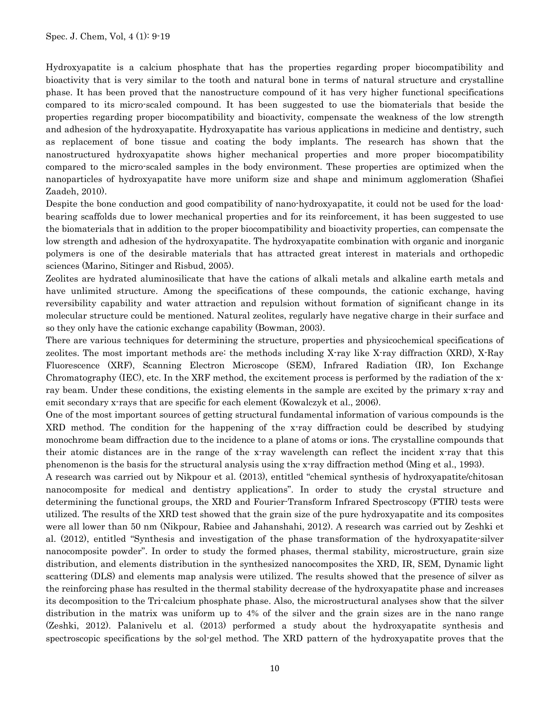Hydroxyapatite is a calcium phosphate that has the properties regarding proper biocompatibility and bioactivity that is very similar to the tooth and natural bone in terms of natural structure and crystalline phase. It has been proved that the nanostructure compound of it has very higher functional specifications compared to its micro-scaled compound. It has been suggested to use the biomaterials that beside the properties regarding proper biocompatibility and bioactivity, compensate the weakness of the low strength and adhesion of the hydroxyapatite. Hydroxyapatite has various applications in medicine and dentistry, such as replacement of bone tissue and coating the body implants. The research has shown that the nanostructured hydroxyapatite shows higher mechanical properties and more proper biocompatibility compared to the micro-scaled samples in the body environment. These properties are optimized when the nanoparticles of hydroxyapatite have more uniform size and shape and minimum agglomeration (Shafiei Zaadeh, 2010).

Despite the bone conduction and good compatibility of nano-hydroxyapatite, it could not be used for the loadbearing scaffolds due to lower mechanical properties and for its reinforcement, it has been suggested to use the biomaterials that in addition to the proper biocompatibility and bioactivity properties, can compensate the low strength and adhesion of the hydroxyapatite. The hydroxyapatite combination with organic and inorganic polymers is one of the desirable materials that has attracted great interest in materials and orthopedic sciences (Marino, Sitinger and Risbud, 2005).

Zeolites are hydrated aluminosilicate that have the cations of alkali metals and alkaline earth metals and have unlimited structure. Among the specifications of these compounds, the cationic exchange, having reversibility capability and water attraction and repulsion without formation of significant change in its molecular structure could be mentioned. Natural zeolites, regularly have negative charge in their surface and so they only have the cationic exchange capability (Bowman, 2003).

There are various techniques for determining the structure, properties and physicochemical specifications of zeolites. The most important methods are: the methods including X-ray like X-ray diffraction (XRD), X-Ray Fluorescence (XRF), Scanning Electron Microscope (SEM), Infrared Radiation (IR), Ion Exchange Chromatography (IEC), etc. In the XRF method, the excitement process is performed by the radiation of the xray beam. Under these conditions, the existing elements in the sample are excited by the primary x-ray and emit secondary x-rays that are specific for each element (Kowalczyk et al., 2006).

One of the most important sources of getting structural fundamental information of various compounds is the XRD method. The condition for the happening of the x-ray diffraction could be described by studying monochrome beam diffraction due to the incidence to a plane of atoms or ions. The crystalline compounds that their atomic distances are in the range of the x-ray wavelength can reflect the incident x-ray that this phenomenon is the basis for the structural analysis using the x-ray diffraction method (Ming et al., 1993).

A research was carried out by Nikpour et al. (2013), entitled "chemical synthesis of hydroxyapatite/chitosan nanocomposite for medical and dentistry applications". In order to study the crystal structure and determining the functional groups, the XRD and Fourier-Transform Infrared Spectroscopy (FTIR) tests were utilized. The results of the XRD test showed that the grain size of the pure hydroxyapatite and its composites were all lower than 50 nm (Nikpour, Rabiee and Jahanshahi, 2012). A research was carried out by Zeshki et al. (2012), entitled "Synthesis and investigation of the phase transformation of the hydroxyapatite-silver nanocomposite powder". In order to study the formed phases, thermal stability, microstructure, grain size distribution, and elements distribution in the synthesized nanocomposites the XRD, IR, SEM, Dynamic light scattering (DLS) and elements map analysis were utilized. The results showed that the presence of silver as the reinforcing phase has resulted in the thermal stability decrease of the hydroxyapatite phase and increases its decomposition to the Tri-calcium phosphate phase. Also, the microstructural analyses show that the silver distribution in the matrix was uniform up to 4% of the silver and the grain sizes are in the nano range (Zeshki, 2012). Palanivelu et al. (2013) performed a study about the hydroxyapatite synthesis and spectroscopic specifications by the sol-gel method. The XRD pattern of the hydroxyapatite proves that the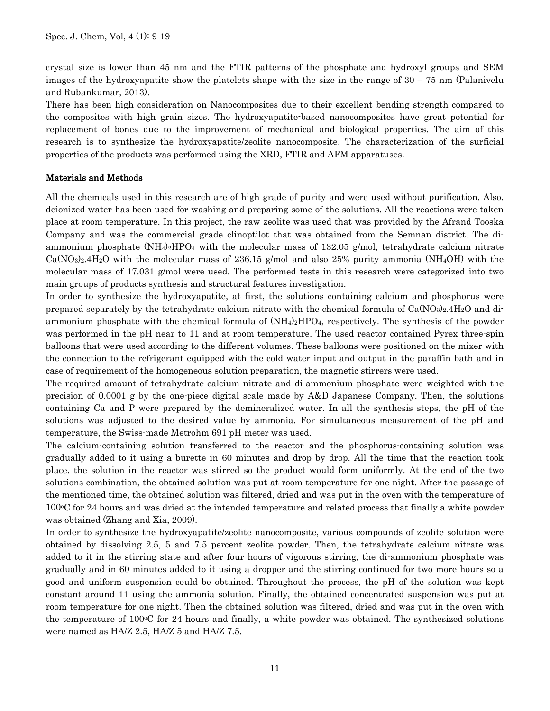crystal size is lower than 45 nm and the FTIR patterns of the phosphate and hydroxyl groups and SEM images of the hydroxyapatite show the platelets shape with the size in the range of 30 – 75 nm (Palanivelu and Rubankumar, 2013).

There has been high consideration on Nanocomposites due to their excellent bending strength compared to the composites with high grain sizes. The hydroxyapatite-based nanocomposites have great potential for replacement of bones due to the improvement of mechanical and biological properties. The aim of this research is to synthesize the hydroxyapatite/zeolite nanocomposite. The characterization of the surficial properties of the products was performed using the XRD, FTIR and AFM apparatuses.

#### Materials and Methods

All the chemicals used in this research are of high grade of purity and were used without purification. Also, deionized water has been used for washing and preparing some of the solutions. All the reactions were taken place at room temperature. In this project, the raw zeolite was used that was provided by the Afrand Tooska Company and was the commercial grade clinoptilot that was obtained from the Semnan district. The diammonium phosphate  $(NH_4)_2HPO_4$  with the molecular mass of 132.05 g/mol, tetrahydrate calcium nitrate  $CaNO<sub>3</sub>2.4H<sub>2</sub>O$  with the molecular mass of 236.15 g/mol and also 25% purity ammonia (NH<sub>4</sub>OH) with the molecular mass of 17.031 g/mol were used. The performed tests in this research were categorized into two main groups of products synthesis and structural features investigation.

In order to synthesize the hydroxyapatite, at first, the solutions containing calcium and phosphorus were prepared separately by the tetrahydrate calcium nitrate with the chemical formula of  $Ca(NO<sub>3</sub>)<sub>2</sub>$ .4H<sub>2</sub>O and diammonium phosphate with the chemical formula of  $(NH_4)_2HPO_4$ , respectively. The synthesis of the powder was performed in the pH near to 11 and at room temperature. The used reactor contained Pyrex three-spin balloons that were used according to the different volumes. These balloons were positioned on the mixer with the connection to the refrigerant equipped with the cold water input and output in the paraffin bath and in case of requirement of the homogeneous solution preparation, the magnetic stirrers were used.

The required amount of tetrahydrate calcium nitrate and di-ammonium phosphate were weighted with the precision of 0.0001 g by the one-piece digital scale made by A&D Japanese Company. Then, the solutions containing Ca and P were prepared by the demineralized water. In all the synthesis steps, the pH of the solutions was adjusted to the desired value by ammonia. For simultaneous measurement of the pH and temperature, the Swiss-made Metrohm 691 pH meter was used.

The calcium-containing solution transferred to the reactor and the phosphorus-containing solution was gradually added to it using a burette in 60 minutes and drop by drop. All the time that the reaction took place, the solution in the reactor was stirred so the product would form uniformly. At the end of the two solutions combination, the obtained solution was put at room temperature for one night. After the passage of the mentioned time, the obtained solution was filtered, dried and was put in the oven with the temperature of  $100\textdegree$ C for 24 hours and was dried at the intended temperature and related process that finally a white powder was obtained (Zhang and Xia, 2009).

In order to synthesize the hydroxyapatite/zeolite nanocomposite, various compounds of zeolite solution were obtained by dissolving 2.5, 5 and 7.5 percent zeolite powder. Then, the tetrahydrate calcium nitrate was added to it in the stirring state and after four hours of vigorous stirring, the di-ammonium phosphate was gradually and in 60 minutes added to it using a dropper and the stirring continued for two more hours so a good and uniform suspension could be obtained. Throughout the process, the pH of the solution was kept constant around 11 using the ammonia solution. Finally, the obtained concentrated suspension was put at room temperature for one night. Then the obtained solution was filtered, dried and was put in the oven with the temperature of  $100\degree$ C for 24 hours and finally, a white powder was obtained. The synthesized solutions were named as HA/Z 2.5, HA/Z 5 and HA/Z 7.5.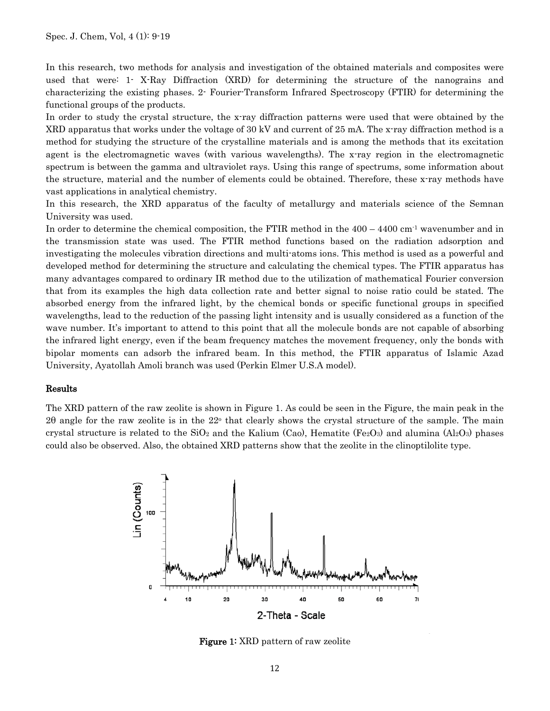In this research, two methods for analysis and investigation of the obtained materials and composites were used that were: 1- X-Ray Diffraction (XRD) for determining the structure of the nanograins and characterizing the existing phases. 2- Fourier-Transform Infrared Spectroscopy (FTIR) for determining the functional groups of the products.

In order to study the crystal structure, the x-ray diffraction patterns were used that were obtained by the XRD apparatus that works under the voltage of 30 kV and current of 25 mA. The x-ray diffraction method is a method for studying the structure of the crystalline materials and is among the methods that its excitation agent is the electromagnetic waves (with various wavelengths). The x-ray region in the electromagnetic spectrum is between the gamma and ultraviolet rays. Using this range of spectrums, some information about the structure, material and the number of elements could be obtained. Therefore, these x-ray methods have vast applications in analytical chemistry.

In this research, the XRD apparatus of the faculty of metallurgy and materials science of the Semnan University was used.

In order to determine the chemical composition, the FTIR method in the  $400 - 4400$  cm<sup>-1</sup> wavenumber and in the transmission state was used. The FTIR method functions based on the radiation adsorption and investigating the molecules vibration directions and multi-atoms ions. This method is used as a powerful and developed method for determining the structure and calculating the chemical types. The FTIR apparatus has many advantages compared to ordinary IR method due to the utilization of mathematical Fourier conversion that from its examples the high data collection rate and better signal to noise ratio could be stated. The absorbed energy from the infrared light, by the chemical bonds or specific functional groups in specified wavelengths, lead to the reduction of the passing light intensity and is usually considered as a function of the wave number. It's important to attend to this point that all the molecule bonds are not capable of absorbing the infrared light energy, even if the beam frequency matches the movement frequency, only the bonds with bipolar moments can adsorb the infrared beam. In this method, the FTIR apparatus of Islamic Azad University, Ayatollah Amoli branch was used (Perkin Elmer U.S.A model).

#### Results

The XRD pattern of the raw zeolite is shown in Figure 1. As could be seen in the Figure, the main peak in the 2θ angle for the raw zeolite is in the 22<sup>o</sup> that clearly shows the crystal structure of the sample. The main crystal structure is related to the  $SiO_2$  and the Kalium (Cao), Hematite (Fe<sub>2</sub>O<sub>3</sub>) and alumina (Al<sub>2</sub>O<sub>3</sub>) phases could also be observed. Also, the obtained XRD patterns show that the zeolite in the clinoptilolite type.



Figure 1: XRD pattern of raw zeolite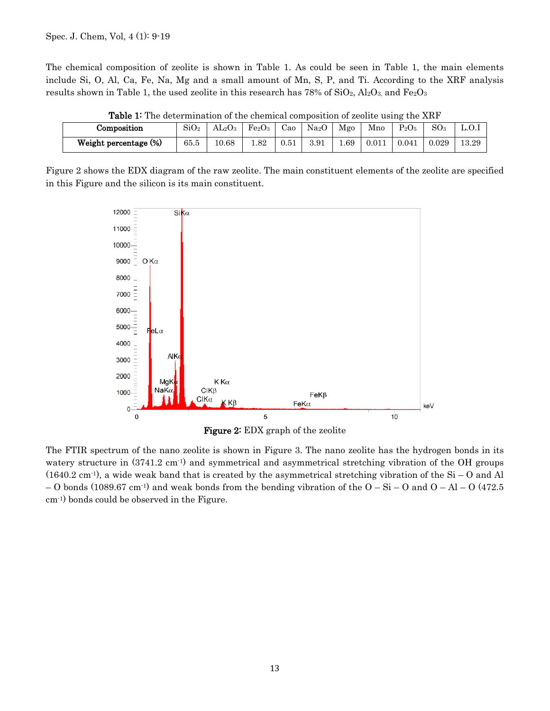The chemical composition of zeolite is shown in Table 1. As could be seen in Table 1, the main elements include Si, O, Al, Ca, Fe, Na, Mg and a small amount of Mn, S, P, and Ti. According to the XRF analysis results shown in Table 1, the used zeolite in this research has 78% of  $SiO_2$ ,  $Al_2O_3$ , and  $Fe_2O_3$ 

| <b>Table 1.</b> The actemptation of the chemical composition of acome asing the Arti- |             |               |               |      |                   |      |       |          |                 |       |
|---------------------------------------------------------------------------------------|-------------|---------------|---------------|------|-------------------|------|-------|----------|-----------------|-------|
| Composition                                                                           | $\rm SiO_2$ | $\rm AL_2O_3$ | $\rm Fe_2O_3$ | Cao  | Na <sub>2</sub> O | Mgo  | Mno   | $P_2O_5$ | SO <sub>3</sub> | L.O.1 |
| Weight percentage (%)                                                                 | 65.5        | 10.68         | .82           | 0.51 | 3.91              | 1.69 | 0.011 | 0.041    | 0.029           | 13.29 |

| <b>Table 1:</b> The determination of the chemical composition of zeolite using the XRF |
|----------------------------------------------------------------------------------------|
|----------------------------------------------------------------------------------------|

Figure 2 shows the EDX diagram of the raw zeolite. The main constituent elements of the zeolite are specified in this Figure and the silicon is its main constituent.



Figure 2: EDX graph of the zeolite

The FTIR spectrum of the nano zeolite is shown in Figure 3. The nano zeolite has the hydrogen bonds in its watery structure in  $(3741.2 \text{ cm}^{-1})$  and symmetrical and asymmetrical stretching vibration of the OH groups  $(1640.2 \text{ cm}^{-1})$ , a wide weak band that is created by the asymmetrical stretching vibration of the Si – O and Al – O bonds (1089.67 cm<sup>-1</sup>) and weak bonds from the bending vibration of the  $O-Si$  – O and  $O-Al$  – O (472.5) cm-1) bonds could be observed in the Figure.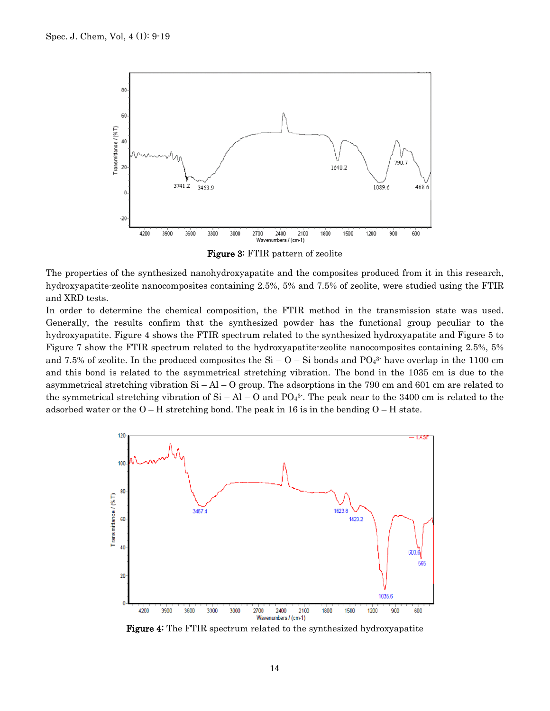

Figure 3: FTIR pattern of zeolite

The properties of the synthesized nanohydroxyapatite and the composites produced from it in this research, hydroxyapatite-zeolite nanocomposites containing 2.5%, 5% and 7.5% of zeolite, were studied using the FTIR and XRD tests.

In order to determine the chemical composition, the FTIR method in the transmission state was used. Generally, the results confirm that the synthesized powder has the functional group peculiar to the hydroxyapatite. Figure 4 shows the FTIR spectrum related to the synthesized hydroxyapatite and Figure 5 to Figure 7 show the FTIR spectrum related to the hydroxyapatite-zeolite nanocomposites containing 2.5%, 5% and 7.5% of zeolite. In the produced composites the  $Si - O - Si$  bonds and  $PO<sub>43</sub>$ <sup>3</sup> have overlap in the 1100 cm and this bond is related to the asymmetrical stretching vibration. The bond in the 1035 cm is due to the asymmetrical stretching vibration Si – Al – O group. The adsorptions in the 790 cm and 601 cm are related to the symmetrical stretching vibration of  $Si - Al - O$  and  $PO<sub>4</sub>3$ . The peak near to the 3400 cm is related to the adsorbed water or the  $O-H$  stretching bond. The peak in 16 is in the bending  $O-H$  state.



Figure 4: The FTIR spectrum related to the synthesized hydroxyapatite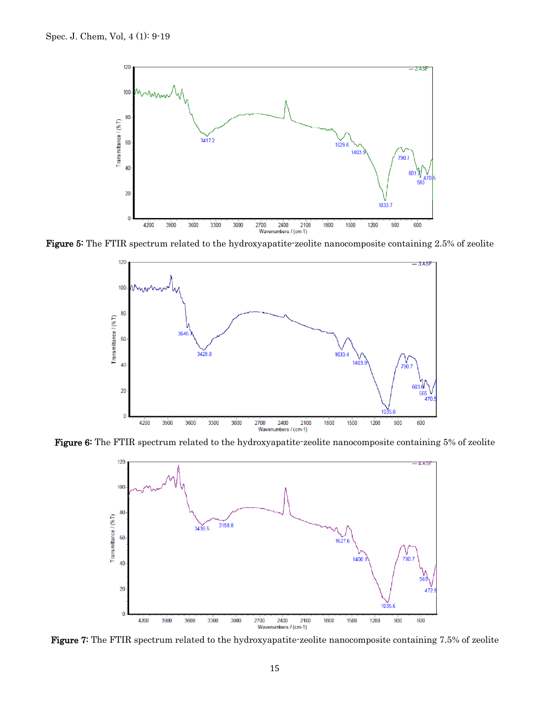

Figure 5: The FTIR spectrum related to the hydroxyapatite-zeolite nanocomposite containing 2.5% of zeolite



Figure 6: The FTIR spectrum related to the hydroxyapatite-zeolite nanocomposite containing 5% of zeolite



Figure 7: The FTIR spectrum related to the hydroxyapatite-zeolite nanocomposite containing 7.5% of zeolite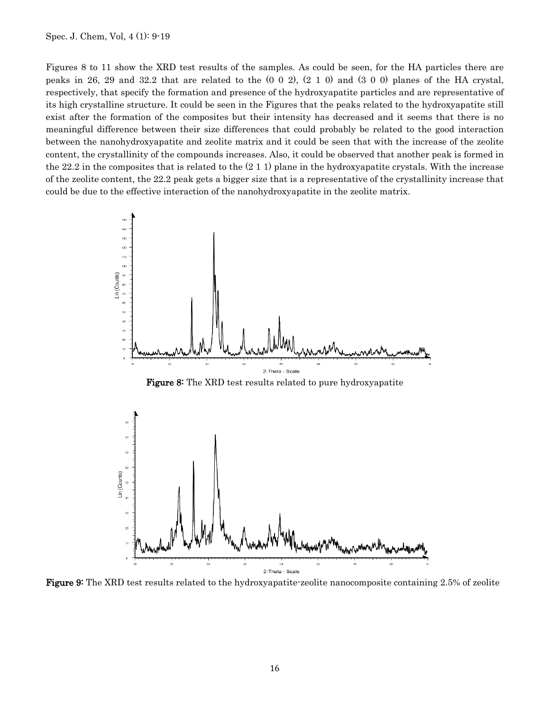Spec. J. Chem, Vol, 4 (1): 9-19

Figures 8 to 11 show the XRD test results of the samples. As could be seen, for the HA particles there are peaks in 26, 29 and 32.2 that are related to the (0 0 2), (2 1 0) and (3 0 0) planes of the HA crystal, respectively, that specify the formation and presence of the hydroxyapatite particles and are representative of its high crystalline structure. It could be seen in the Figures that the peaks related to the hydroxyapatite still exist after the formation of the composites but their intensity has decreased and it seems that there is no meaningful difference between their size differences that could probably be related to the good interaction between the nanohydroxyapatite and zeolite matrix and it could be seen that with the increase of the zeolite content, the crystallinity of the compounds increases. Also, it could be observed that another peak is formed in the 22.2 in the composites that is related to the  $(2 1 1)$  plane in the hydroxyapatite crystals. With the increase of the zeolite content, the 22.2 peak gets a bigger size that is a representative of the crystallinity increase that could be due to the effective interaction of the nanohydroxyapatite in the zeolite matrix.



Figure 9: The XRD test results related to the hydroxyapatite-zeolite nanocomposite containing 2.5% of zeolite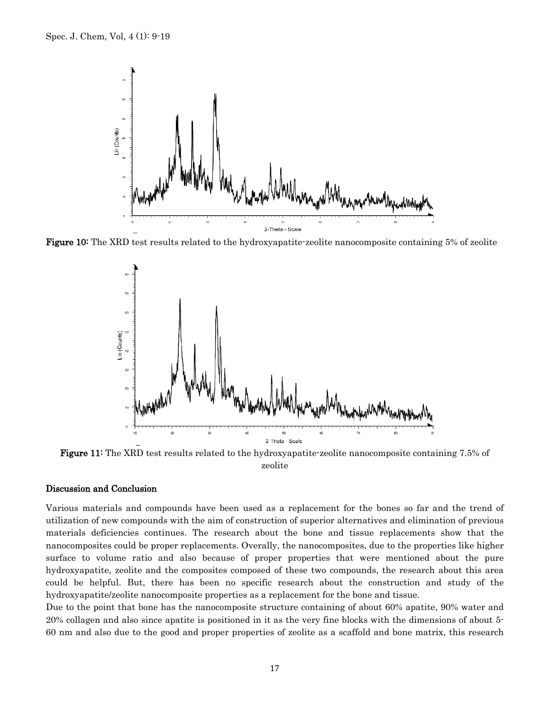

Figure 10: The XRD test results related to the hydroxyapatite-zeolite nanocomposite containing 5% of zeolite



Figure 11: The XRD test results related to the hydroxyapatite-zeolite nanocomposite containing 7.5% of zeolite

#### Discussion and Conclusion

Various materials and compounds have been used as a replacement for the bones so far and the trend of utilization of new compounds with the aim of construction of superior alternatives and elimination of previous materials deficiencies continues. The research about the bone and tissue replacements show that the nanocomposites could be proper replacements. Overally, the nanocomposites, due to the properties like higher surface to volume ratio and also because of proper properties that were mentioned about the pure hydroxyapatite, zeolite and the composites composed of these two compounds, the research about this area could be helpful. But, there has been no specific research about the construction and study of the hydroxyapatite/zeolite nanocomposite properties as a replacement for the bone and tissue.

Due to the point that bone has the nanocomposite structure containing of about 60% apatite, 90% water and 20% collagen and also since apatite is positioned in it as the very fine blocks with the dimensions of about 5- 60 nm and also due to the good and proper properties of zeolite as a scaffold and bone matrix, this research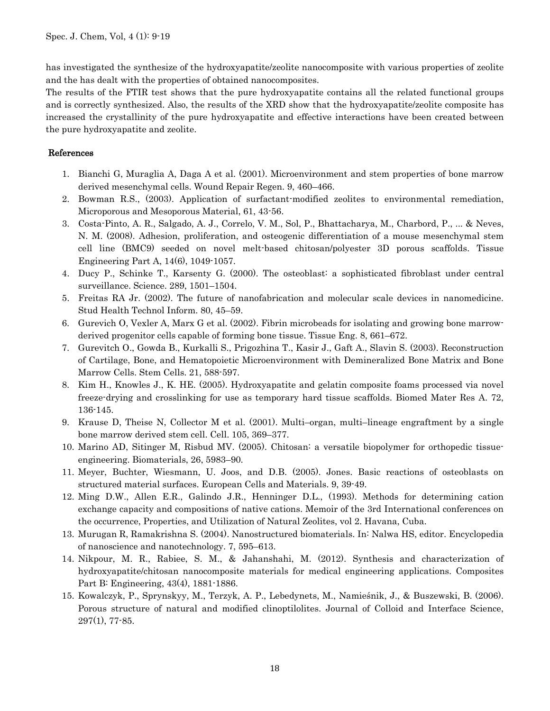has investigated the synthesize of the hydroxyapatite/zeolite nanocomposite with various properties of zeolite and the has dealt with the properties of obtained nanocomposites.

The results of the FTIR test shows that the pure hydroxyapatite contains all the related functional groups and is correctly synthesized. Also, the results of the XRD show that the hydroxyapatite/zeolite composite has increased the crystallinity of the pure hydroxyapatite and effective interactions have been created between the pure hydroxyapatite and zeolite.

#### References

- 1. Bianchi G, Muraglia A, Daga A et al. (2001). Microenvironment and stem properties of bone marrow derived mesenchymal cells. Wound Repair Regen. 9, 460–466.
- 2. Bowman R.S., (2003). Application of surfactant-modified zeolites to environmental remediation, Microporous and Mesoporous Material, 61, 43-56.
- 3. Costa-Pinto, A. R., Salgado, A. J., Correlo, V. M., Sol, P., Bhattacharya, M., Charbord, P., ... & Neves, N. M. (2008). Adhesion, proliferation, and osteogenic differentiation of a mouse mesenchymal stem cell line (BMC9) seeded on novel melt-based chitosan/polyester 3D porous scaffolds. Tissue Engineering Part A, 14(6), 1049-1057.
- 4. Ducy P., Schinke T., Karsenty G. (2000). The osteoblast: a sophisticated fibroblast under central surveillance. Science. 289, 1501–1504.
- 5. Freitas RA Jr. (2002). The future of nanofabrication and molecular scale devices in nanomedicine. Stud Health Technol Inform. 80, 45–59.
- 6. Gurevich O, Vexler A, Marx G et al. (2002). Fibrin microbeads for isolating and growing bone marrowderived progenitor cells capable of forming bone tissue. Tissue Eng. 8, 661–672.
- 7. Gurevitch O., Gowda B., Kurkalli S., Prigozhina T., Kasir J., Gaft A., Slavin S. (2003). Reconstruction of Cartilage, Bone, and Hematopoietic Microenvironment with Demineralized Bone Matrix and Bone Marrow Cells. Stem Cells. 21, 588-597.
- 8. Kim H., Knowles J., K. HE. (2005). Hydroxyapatite and gelatin composite foams processed via novel freeze-drying and crosslinking for use as temporary hard tissue scaffolds. Biomed Mater Res A. 72, 136-145.
- 9. Krause D, Theise N, Collector M et al. (2001). Multi–organ, multi–lineage engraftment by a single bone marrow derived stem cell. Cell. 105, 369–377.
- 10. Marino AD, Sitinger M, Risbud MV. (2005). Chitosan: a versatile biopolymer for orthopedic tissueengineering. Biomaterials, 26, 5983–90.
- 11. Meyer, Buchter, Wiesmann, U. Joos, and D.B. (2005). Jones. Basic reactions of osteoblasts on structured material surfaces. European Cells and Materials. 9, 39-49.
- 12. Ming D.W., Allen E.R., Galindo J.R., Henninger D.L., (1993). Methods for determining cation exchange capacity and compositions of native cations. Memoir of the 3rd International conferences on the occurrence, Properties, and Utilization of Natural Zeolites, vol 2. Havana, Cuba.
- 13. Murugan R, Ramakrishna S. (2004). Nanostructured biomaterials. In: Nalwa HS, editor. Encyclopedia of nanoscience and nanotechnology. 7, 595–613.
- 14. Nikpour, M. R., Rabiee, S. M., & Jahanshahi, M. (2012). Synthesis and characterization of hydroxyapatite/chitosan nanocomposite materials for medical engineering applications. Composites Part B: Engineering, 43(4), 1881-1886.
- 15. Kowalczyk, P., Sprynskyy, M., Terzyk, A. P., Lebedynets, M., Namieśnik, J., & Buszewski, B. (2006). Porous structure of natural and modified clinoptilolites. Journal of Colloid and Interface Science, 297(1), 77-85.